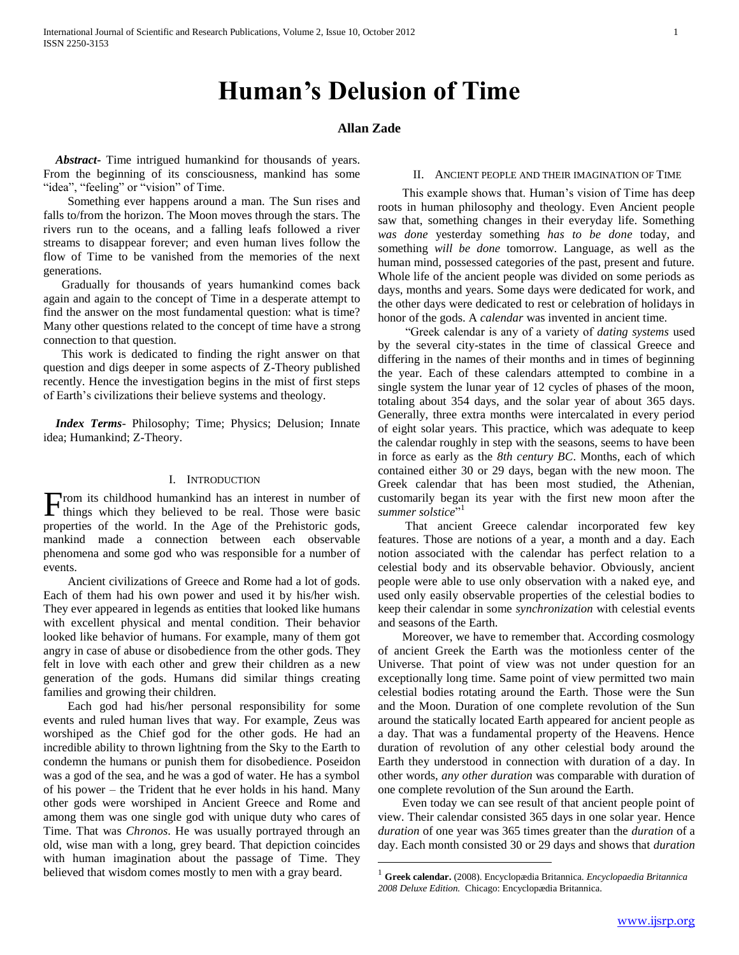# **Human's Delusion of Time**

# **Allan Zade**

 *Abstract***-** Time intrigued humankind for thousands of years. From the beginning of its consciousness, mankind has some "idea", "feeling" or "vision" of Time.

 Something ever happens around a man. The Sun rises and falls to/from the horizon. The Moon moves through the stars. The rivers run to the oceans, and a falling leafs followed a river streams to disappear forever; and even human lives follow the flow of Time to be vanished from the memories of the next generations.

 Gradually for thousands of years humankind comes back again and again to the concept of Time in a desperate attempt to find the answer on the most fundamental question: what is time? Many other questions related to the concept of time have a strong connection to that question.

 This work is dedicated to finding the right answer on that question and digs deeper in some aspects of Z-Theory published recently. Hence the investigation begins in the mist of first steps of Earth's civilizations their believe systems and theology.

 *Index Terms*- Philosophy; Time; Physics; Delusion; Innate idea; Humankind; Z-Theory.

#### I. INTRODUCTION

rom its childhood humankind has an interest in number of From its childhood humankind has an interest in number of things which they believed to be real. Those were basic properties of the world. In the Age of the Prehistoric gods, mankind made a connection between each observable phenomena and some god who was responsible for a number of events.

 Ancient civilizations of Greece and Rome had a lot of gods. Each of them had his own power and used it by his/her wish. They ever appeared in legends as entities that looked like humans with excellent physical and mental condition. Their behavior looked like behavior of humans. For example, many of them got angry in case of abuse or disobedience from the other gods. They felt in love with each other and grew their children as a new generation of the gods. Humans did similar things creating families and growing their children.

 Each god had his/her personal responsibility for some events and ruled human lives that way. For example, Zeus was worshiped as the Chief god for the other gods. He had an incredible ability to thrown lightning from the Sky to the Earth to condemn the humans or punish them for disobedience. Poseidon was a god of the sea, and he was a god of water. He has a symbol of his power – the Trident that he ever holds in his hand. Many other gods were worshiped in Ancient Greece and Rome and among them was one single god with unique duty who cares of Time. That was *Chronos*. He was usually portrayed through an old, wise man with a long, grey beard. That depiction coincides with human imagination about the passage of Time. They believed that wisdom comes mostly to men with a gray beard.

## II. ANCIENT PEOPLE AND THEIR IMAGINATION OF TIME

 This example shows that. Human's vision of Time has deep roots in human philosophy and theology. Even Ancient people saw that, something changes in their everyday life. Something *was done* yesterday something *has to be done* today, and something *will be done* tomorrow. Language, as well as the human mind, possessed categories of the past, present and future. Whole life of the ancient people was divided on some periods as days, months and years. Some days were dedicated for work, and the other days were dedicated to rest or celebration of holidays in honor of the gods. A *calendar* was invented in ancient time.

 ―Greek calendar is any of a variety of *dating systems* used by the several city-states in the time of classical Greece and differing in the names of their months and in times of beginning the year. Each of these calendars attempted to combine in a single system the lunar year of 12 cycles of phases of the moon, totaling about 354 days, and the solar year of about 365 days. Generally, three extra months were intercalated in every period of eight solar years. This practice, which was adequate to keep the calendar roughly in step with the seasons, seems to have been in force as early as the *8th century BC*. Months, each of which contained either 30 or 29 days, began with the new moon. The Greek calendar that has been most studied, the Athenian, customarily began its year with the first new moon after the summer solstice"<sup>1</sup>

 That ancient Greece calendar incorporated few key features. Those are notions of a year, a month and a day. Each notion associated with the calendar has perfect relation to a celestial body and its observable behavior. Obviously, ancient people were able to use only observation with a naked eye, and used only easily observable properties of the celestial bodies to keep their calendar in some *synchronization* with celestial events and seasons of the Earth.

 Moreover, we have to remember that. According cosmology of ancient Greek the Earth was the motionless center of the Universe. That point of view was not under question for an exceptionally long time. Same point of view permitted two main celestial bodies rotating around the Earth. Those were the Sun and the Moon. Duration of one complete revolution of the Sun around the statically located Earth appeared for ancient people as a day. That was a fundamental property of the Heavens. Hence duration of revolution of any other celestial body around the Earth they understood in connection with duration of a day. In other words, *any other duration* was comparable with duration of one complete revolution of the Sun around the Earth.

 Even today we can see result of that ancient people point of view. Their calendar consisted 365 days in one solar year. Hence *duration* of one year was 365 times greater than the *duration* of a day. Each month consisted 30 or 29 days and shows that *duration*

<sup>1</sup> **Greek calendar.** (2008). Encyclopædia Britannica. *Encyclopaedia Britannica 2008 Deluxe Edition.* Chicago: Encyclopædia Britannica.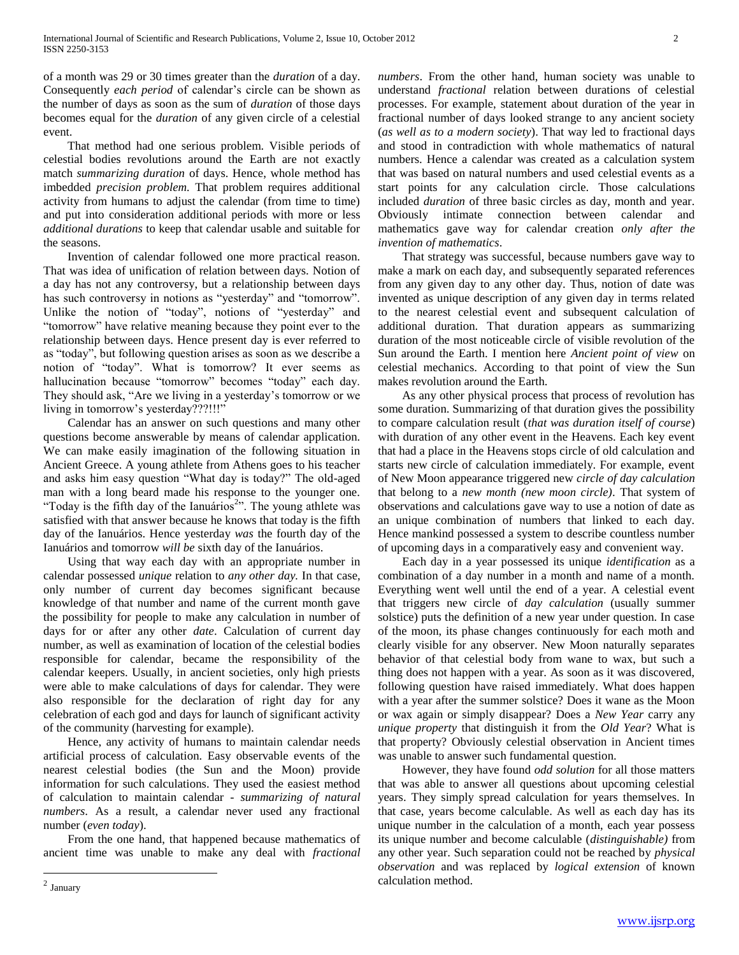of a month was 29 or 30 times greater than the *duration* of a day. Consequently *each period* of calendar's circle can be shown as the number of days as soon as the sum of *duration* of those days becomes equal for the *duration* of any given circle of a celestial event.

 That method had one serious problem. Visible periods of celestial bodies revolutions around the Earth are not exactly match *summarizing duration* of days. Hence, whole method has imbedded *precision problem.* That problem requires additional activity from humans to adjust the calendar (from time to time) and put into consideration additional periods with more or less *additional durations* to keep that calendar usable and suitable for the seasons.

 Invention of calendar followed one more practical reason. That was idea of unification of relation between days. Notion of a day has not any controversy, but a relationship between days has such controversy in notions as "yesterday" and "tomorrow". Unlike the notion of "today", notions of "yesterday" and ―tomorrow‖ have relative meaning because they point ever to the relationship between days. Hence present day is ever referred to as "today", but following question arises as soon as we describe a notion of "today". What is tomorrow? It ever seems as hallucination because "tomorrow" becomes "today" each day. They should ask, "Are we living in a yesterday's tomorrow or we living in tomorrow's yesterday???!!!"

 Calendar has an answer on such questions and many other questions become answerable by means of calendar application. We can make easily imagination of the following situation in Ancient Greece. A young athlete from Athens goes to his teacher and asks him easy question "What day is today?" The old-aged man with a long beard made his response to the younger one. "Today is the fifth day of the Ianuários<sup>2</sup>". The young athlete was satisfied with that answer because he knows that today is the fifth day of the Ianuários. Hence yesterday *was* the fourth day of the Ianuários and tomorrow *will be* sixth day of the Ianuários.

 Using that way each day with an appropriate number in calendar possessed *unique* relation to *any other day.* In that case, only number of current day becomes significant because knowledge of that number and name of the current month gave the possibility for people to make any calculation in number of days for or after any other *date*. Calculation of current day number, as well as examination of location of the celestial bodies responsible for calendar, became the responsibility of the calendar keepers. Usually, in ancient societies, only high priests were able to make calculations of days for calendar. They were also responsible for the declaration of right day for any celebration of each god and days for launch of significant activity of the community (harvesting for example).

 Hence, any activity of humans to maintain calendar needs artificial process of calculation. Easy observable events of the nearest celestial bodies (the Sun and the Moon) provide information for such calculations. They used the easiest method of calculation to maintain calendar - *summarizing of natural numbers*. As a result, a calendar never used any fractional number (*even today*).

 From the one hand, that happened because mathematics of ancient time was unable to make any deal with *fractional* 

 That strategy was successful, because numbers gave way to make a mark on each day, and subsequently separated references from any given day to any other day. Thus, notion of date was invented as unique description of any given day in terms related to the nearest celestial event and subsequent calculation of additional duration. That duration appears as summarizing duration of the most noticeable circle of visible revolution of the Sun around the Earth. I mention here *Ancient point of view* on celestial mechanics. According to that point of view the Sun makes revolution around the Earth.

 As any other physical process that process of revolution has some duration. Summarizing of that duration gives the possibility to compare calculation result (*that was duration itself of course*) with duration of any other event in the Heavens. Each key event that had a place in the Heavens stops circle of old calculation and starts new circle of calculation immediately. For example, event of New Moon appearance triggered new *circle of day calculation* that belong to a *new month (new moon circle)*. That system of observations and calculations gave way to use a notion of date as an unique combination of numbers that linked to each day. Hence mankind possessed a system to describe countless number of upcoming days in a comparatively easy and convenient way.

 Each day in a year possessed its unique *identification* as a combination of a day number in a month and name of a month. Everything went well until the end of a year. A celestial event that triggers new circle of *day calculation* (usually summer solstice) puts the definition of a new year under question. In case of the moon, its phase changes continuously for each moth and clearly visible for any observer. New Moon naturally separates behavior of that celestial body from wane to wax, but such a thing does not happen with a year. As soon as it was discovered, following question have raised immediately. What does happen with a year after the summer solstice? Does it wane as the Moon or wax again or simply disappear? Does a *New Year* carry any *unique property* that distinguish it from the *Old Year*? What is that property? Obviously celestial observation in Ancient times was unable to answer such fundamental question.

 However, they have found *odd solution* for all those matters that was able to answer all questions about upcoming celestial years. They simply spread calculation for years themselves. In that case, years become calculable. As well as each day has its unique number in the calculation of a month, each year possess its unique number and become calculable (*distinguishable)* from any other year. Such separation could not be reached by *physical observation* and was replaced by *logical extension* of known calculation method.

*numbers*. From the other hand, human society was unable to understand *fractional* relation between durations of celestial processes. For example, statement about duration of the year in fractional number of days looked strange to any ancient society (*as well as to a modern society*). That way led to fractional days and stood in contradiction with whole mathematics of natural numbers. Hence a calendar was created as a calculation system that was based on natural numbers and used celestial events as a start points for any calculation circle. Those calculations included *duration* of three basic circles as day, month and year. Obviously intimate connection between calendar and mathematics gave way for calendar creation *only after the invention of mathematics*.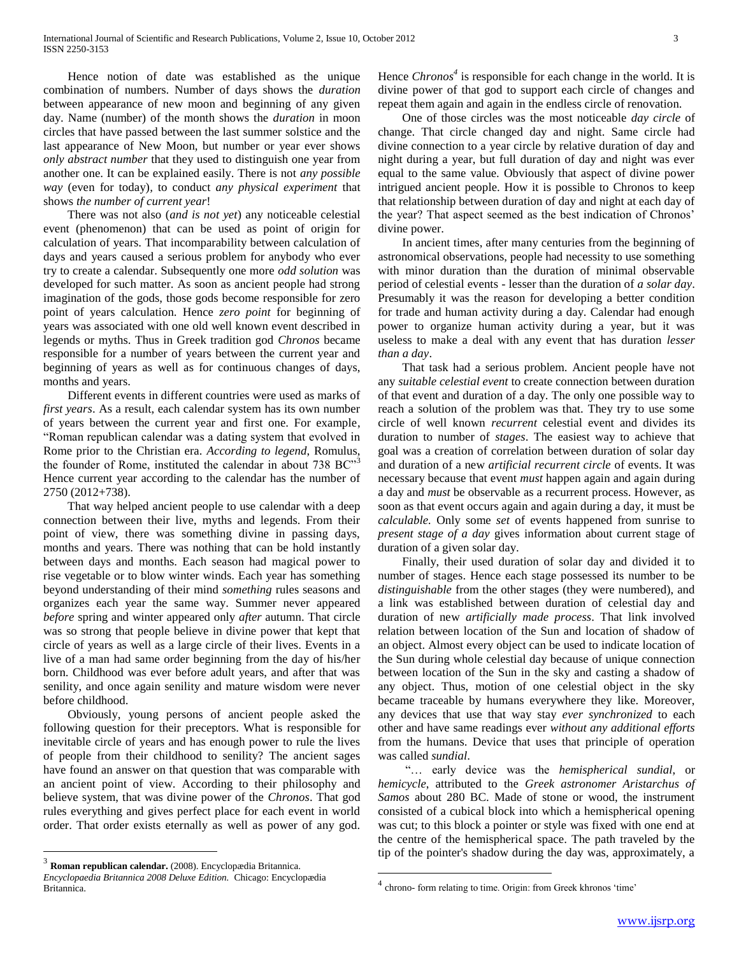Hence notion of date was established as the unique combination of numbers. Number of days shows the *duration* between appearance of new moon and beginning of any given day. Name (number) of the month shows the *duration* in moon circles that have passed between the last summer solstice and the last appearance of New Moon, but number or year ever shows *only abstract number* that they used to distinguish one year from another one. It can be explained easily. There is not *any possible way* (even for today)*,* to conduct *any physical experiment* that shows *the number of current year*!

 There was not also (*and is not yet*) any noticeable celestial event (phenomenon) that can be used as point of origin for calculation of years. That incomparability between calculation of days and years caused a serious problem for anybody who ever try to create a calendar. Subsequently one more *odd solution* was developed for such matter. As soon as ancient people had strong imagination of the gods, those gods become responsible for zero point of years calculation. Hence *zero point* for beginning of years was associated with one old well known event described in legends or myths. Thus in Greek tradition god *Chronos* became responsible for a number of years between the current year and beginning of years as well as for continuous changes of days, months and years.

 Different events in different countries were used as marks of *first years*. As a result, each calendar system has its own number of years between the current year and first one. For example, ―Roman republican calendar was a dating system that evolved in Rome prior to the Christian era. *According to legend*, Romulus, the founder of Rome, instituted the calendar in about  $738$  BC $^{\prime\prime}$ <sup>3</sup> Hence current year according to the calendar has the number of 2750 (2012+738).

 That way helped ancient people to use calendar with a deep connection between their live, myths and legends. From their point of view, there was something divine in passing days, months and years. There was nothing that can be hold instantly between days and months. Each season had magical power to rise vegetable or to blow winter winds. Each year has something beyond understanding of their mind *something* rules seasons and organizes each year the same way. Summer never appeared *before* spring and winter appeared only *after* autumn. That circle was so strong that people believe in divine power that kept that circle of years as well as a large circle of their lives. Events in a live of a man had same order beginning from the day of his/her born. Childhood was ever before adult years, and after that was senility, and once again senility and mature wisdom were never before childhood.

 Obviously, young persons of ancient people asked the following question for their preceptors. What is responsible for inevitable circle of years and has enough power to rule the lives of people from their childhood to senility? The ancient sages have found an answer on that question that was comparable with an ancient point of view. According to their philosophy and believe system, that was divine power of the *Chronos*. That god rules everything and gives perfect place for each event in world order. That order exists eternally as well as power of any god.

 $\overline{a}$ 

Hence *Chronos<sup>4</sup>* is responsible for each change in the world. It is divine power of that god to support each circle of changes and repeat them again and again in the endless circle of renovation.

 One of those circles was the most noticeable *day circle* of change. That circle changed day and night. Same circle had divine connection to a year circle by relative duration of day and night during a year, but full duration of day and night was ever equal to the same value. Obviously that aspect of divine power intrigued ancient people. How it is possible to Chronos to keep that relationship between duration of day and night at each day of the year? That aspect seemed as the best indication of Chronos' divine power.

 In ancient times, after many centuries from the beginning of astronomical observations, people had necessity to use something with minor duration than the duration of minimal observable period of celestial events - lesser than the duration of *a solar day*. Presumably it was the reason for developing a better condition for trade and human activity during a day. Calendar had enough power to organize human activity during a year, but it was useless to make a deal with any event that has duration *lesser than a day*.

 That task had a serious problem. Ancient people have not any *suitable celestial event* to create connection between duration of that event and duration of a day. The only one possible way to reach a solution of the problem was that. They try to use some circle of well known *recurrent* celestial event and divides its duration to number of *stages*. The easiest way to achieve that goal was a creation of correlation between duration of solar day and duration of a new *artificial recurrent circle* of events. It was necessary because that event *must* happen again and again during a day and *must* be observable as a recurrent process. However, as soon as that event occurs again and again during a day, it must be *calculable.* Only some *set* of events happened from sunrise to *present stage of a day* gives information about current stage of duration of a given solar day.

 Finally, their used duration of solar day and divided it to number of stages. Hence each stage possessed its number to be *distinguishable* from the other stages (they were numbered), and a link was established between duration of celestial day and duration of new *artificially made process*. That link involved relation between location of the Sun and location of shadow of an object. Almost every object can be used to indicate location of the Sun during whole celestial day because of unique connection between location of the Sun in the sky and casting a shadow of any object. Thus, motion of one celestial object in the sky became traceable by humans everywhere they like. Moreover, any devices that use that way stay *ever synchronized* to each other and have same readings ever *without any additional efforts* from the humans. Device that uses that principle of operation was called *sundial*.

 ―… early device was the *hemispherical sundial*, or *hemicycle*, attributed to the *Greek astronomer Aristarchus of Samos* about 280 BC. Made of stone or wood, the instrument consisted of a cubical block into which a hemispherical opening was cut; to this block a pointer or style was fixed with one end at the centre of the hemispherical space. The path traveled by the tip of the pointer's shadow during the day was, approximately, a

<sup>3</sup> **Roman republican calendar.** (2008). Encyclopædia Britannica.

*Encyclopaedia Britannica 2008 Deluxe Edition.* Chicago: Encyclopædia Britannica.

<sup>4</sup> chrono- form relating to time. Origin: from Greek khronos 'time'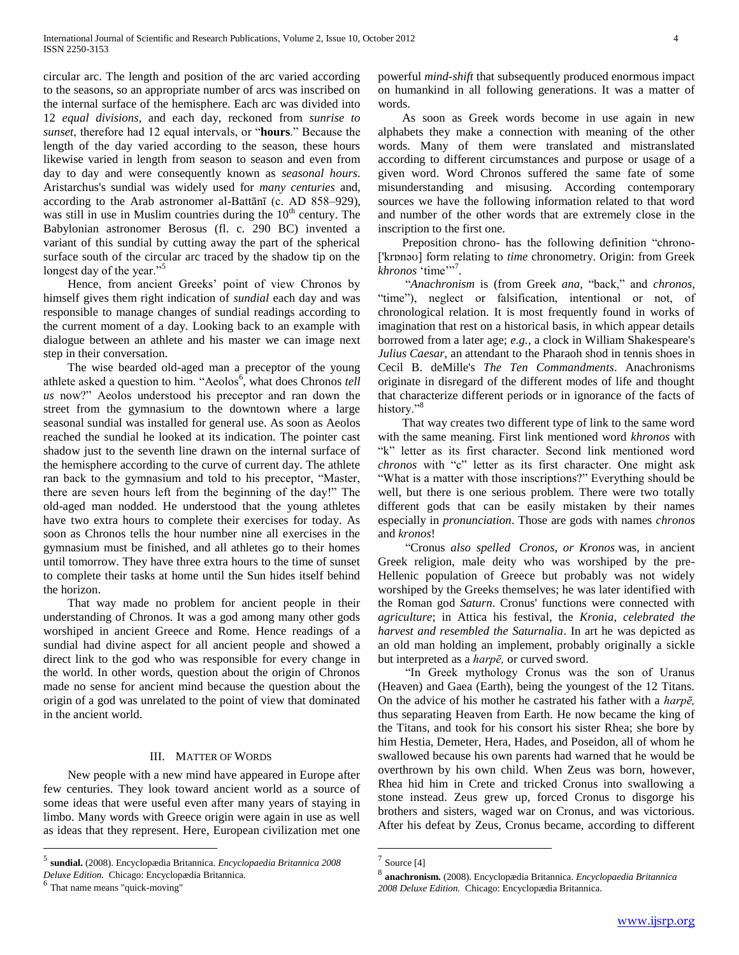circular arc. The length and position of the arc varied according to the seasons, so an appropriate number of arcs was inscribed on the internal surface of the hemisphere. Each arc was divided into 12 *equal divisions*, and each day, reckoned from *sunrise to sunset*, therefore had 12 equal intervals, or "hours." Because the length of the day varied according to the season, these hours likewise varied in length from season to season and even from day to day and were consequently known as *seasonal hours*. Aristarchus's sundial was widely used for *many centuries* and, according to the Arab astronomer al-Battānī (c. AD 858–929), was still in use in Muslim countries during the  $10<sup>th</sup>$  century. The Babylonian astronomer Berosus (fl. c. 290 BC) invented a variant of this sundial by cutting away the part of the spherical surface south of the circular arc traced by the shadow tip on the longest day of the year."<sup>5</sup>

 Hence, from ancient Greeks' point of view Chronos by himself gives them right indication of *sundial* each day and was responsible to manage changes of sundial readings according to the current moment of a day. Looking back to an example with dialogue between an athlete and his master we can image next step in their conversation.

 The wise bearded old-aged man a preceptor of the young athlete asked a question to him. "Aeolos<sup>6</sup>, what does Chronos *tell us* now?‖ Aeolos understood his preceptor and ran down the street from the gymnasium to the downtown where a large seasonal sundial was installed for general use. As soon as Aeolos reached the sundial he looked at its indication. The pointer cast shadow just to the seventh line drawn on the internal surface of the hemisphere according to the curve of current day. The athlete ran back to the gymnasium and told to his preceptor, "Master, there are seven hours left from the beginning of the day!" The old-aged man nodded. He understood that the young athletes have two extra hours to complete their exercises for today. As soon as Chronos tells the hour number nine all exercises in the gymnasium must be finished, and all athletes go to their homes until tomorrow. They have three extra hours to the time of sunset to complete their tasks at home until the Sun hides itself behind the horizon.

 That way made no problem for ancient people in their understanding of Chronos. It was a god among many other gods worshiped in ancient Greece and Rome. Hence readings of a sundial had divine aspect for all ancient people and showed a direct link to the god who was responsible for every change in the world. In other words, question about the origin of Chronos made no sense for ancient mind because the question about the origin of a god was unrelated to the point of view that dominated in the ancient world.

## III. MATTER OF WORDS

 New people with a new mind have appeared in Europe after few centuries. They look toward ancient world as a source of some ideas that were useful even after many years of staying in limbo. Many words with Greece origin were again in use as well as ideas that they represent. Here, European civilization met one

 $\overline{a}$ 

powerful *mind-shift* that subsequently produced enormous impact on humankind in all following generations. It was a matter of words.

 As soon as Greek words become in use again in new alphabets they make a connection with meaning of the other words. Many of them were translated and mistranslated according to different circumstances and purpose or usage of a given word. Word Chronos suffered the same fate of some misunderstanding and misusing. According contemporary sources we have the following information related to that word and number of the other words that are extremely close in the inscription to the first one.

Preposition chrono- has the following definition "chrono-['krɒnəʊ] form relating to *time* chronometry. Origin: from Greek *khronos* 'time'"<sup>7</sup>.

 ―*Anachronism* is (from Greek *ana,* ―back,‖ and *chronos,* "time"), neglect or falsification, intentional or not, of chronological relation. It is most frequently found in works of imagination that rest on a historical basis, in which appear details borrowed from a later age; *e.g.,* a clock in William Shakespeare's *Julius Caesar,* an attendant to the Pharaoh shod in tennis shoes in Cecil B. deMille's *The Ten Commandments*. Anachronisms originate in disregard of the different modes of life and thought that characterize different periods or in ignorance of the facts of history."<sup>8</sup>

 That way creates two different type of link to the same word with the same meaning. First link mentioned word *khronos* with "k" letter as its first character. Second link mentioned word *chronos* with "c" letter as its first character. One might ask "What is a matter with those inscriptions?" Everything should be well, but there is one serious problem. There were two totally different gods that can be easily mistaken by their names especially in *pronunciation*. Those are gods with names *chronos* and *kronos*!

 ―Cronus *also spelled Cronos, or Kronos* was, in ancient Greek religion, male deity who was worshiped by the pre-Hellenic population of Greece but probably was not widely worshiped by the Greeks themselves; he was later identified with the Roman god *Saturn*. Cronus' functions were connected with *agriculture*; in Attica his festival, the *Kronia*, *celebrated the harvest and resembled the Saturnalia*. In art he was depicted as an old man holding an implement, probably originally a sickle but interpreted as a *harpē,* or curved sword.

"In Greek mythology Cronus was the son of Uranus (Heaven) and Gaea (Earth), being the youngest of the 12 Titans. On the advice of his mother he castrated his father with a *harpē,* thus separating Heaven from Earth. He now became the king of the Titans, and took for his consort his sister Rhea; she bore by him Hestia, Demeter, Hera, Hades, and Poseidon, all of whom he swallowed because his own parents had warned that he would be overthrown by his own child. When Zeus was born, however, Rhea hid him in Crete and tricked Cronus into swallowing a stone instead. Zeus grew up, forced Cronus to disgorge his brothers and sisters, waged war on Cronus, and was victorious. After his defeat by Zeus, Cronus became, according to different

<sup>5</sup> **sundial.** (2008). Encyclopædia Britannica. *Encyclopaedia Britannica 2008* 

*Deluxe Edition.* Chicago: Encyclopædia Britannica.

<sup>6</sup> That name means "quick-moving"

 $\frac{7}{8}$  Source [4]

**anachronism.** (2008). Encyclopædia Britannica. *Encyclopaedia Britannica 2008 Deluxe Edition.* Chicago: Encyclopædia Britannica.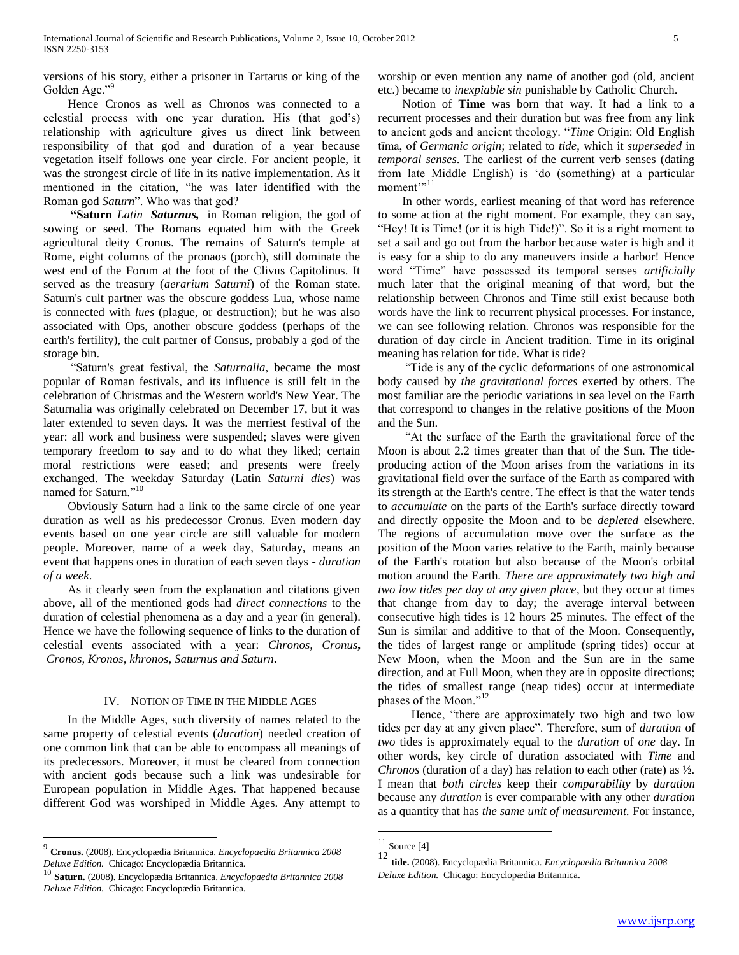versions of his story, either a prisoner in Tartarus or king of the Golden Age."

 Hence Cronos as well as Chronos was connected to a celestial process with one year duration. His (that god's) relationship with agriculture gives us direct link between responsibility of that god and duration of a year because vegetation itself follows one year circle. For ancient people, it was the strongest circle of life in its native implementation. As it mentioned in the citation, "he was later identified with the Roman god *Saturn*". Who was that god?

 **"Saturn** *Latin Saturnus,* in Roman religion, the god of sowing or seed. The Romans equated him with the Greek agricultural deity Cronus. The remains of Saturn's temple at Rome, eight columns of the pronaos (porch), still dominate the west end of the Forum at the foot of the Clivus Capitolinus. It served as the treasury (*aerarium Saturni*) of the Roman state. Saturn's cult partner was the obscure goddess Lua, whose name is connected with *lues* (plague, or destruction); but he was also associated with Ops, another obscure goddess (perhaps of the earth's fertility), the cult partner of Consus, probably a god of the storage bin.

 ―Saturn's great festival, the *Saturnalia*, became the most popular of Roman festivals, and its influence is still felt in the celebration of Christmas and the Western world's New Year. The Saturnalia was originally celebrated on December 17, but it was later extended to seven days. It was the merriest festival of the year: all work and business were suspended; slaves were given temporary freedom to say and to do what they liked; certain moral restrictions were eased; and presents were freely exchanged. The weekday Saturday (Latin *Saturni dies*) was named for Saturn."<sup>10</sup>

 Obviously Saturn had a link to the same circle of one year duration as well as his predecessor Cronus. Even modern day events based on one year circle are still valuable for modern people. Moreover, name of a week day, Saturday, means an event that happens ones in duration of each seven days - *duration of a week*.

 As it clearly seen from the explanation and citations given above, all of the mentioned gods had *direct connections* to the duration of celestial phenomena as a day and a year (in general). Hence we have the following sequence of links to the duration of celestial events associated with a year: *Chronos, Cronus***,** *Cronos, Kronos, khronos, Saturnus and Saturn***.** 

# IV. NOTION OF TIME IN THE MIDDLE AGES

 In the Middle Ages, such diversity of names related to the same property of celestial events (*duration*) needed creation of one common link that can be able to encompass all meanings of its predecessors. Moreover, it must be cleared from connection with ancient gods because such a link was undesirable for European population in Middle Ages. That happened because different God was worshiped in Middle Ages. Any attempt to

 $\overline{a}$ 

worship or even mention any name of another god (old, ancient etc.) became to *inexpiable sin* punishable by Catholic Church.

 Notion of **Time** was born that way. It had a link to a recurrent processes and their duration but was free from any link to ancient gods and ancient theology. ―*Time* Origin: Old English tīma, of *Germanic origin*; related to *tide*, which it *superseded* in *temporal senses*. The earliest of the current verb senses (dating from late Middle English) is ‗do (something) at a particular moment'"<sup>11</sup>

 In other words, earliest meaning of that word has reference to some action at the right moment. For example, they can say, "Hey! It is Time! (or it is high Tide!)". So it is a right moment to set a sail and go out from the harbor because water is high and it is easy for a ship to do any maneuvers inside a harbor! Hence word "Time" have possessed its temporal senses *artificially* much later that the original meaning of that word, but the relationship between Chronos and Time still exist because both words have the link to recurrent physical processes. For instance, we can see following relation. Chronos was responsible for the duration of day circle in Ancient tradition. Time in its original meaning has relation for tide. What is tide?

 ―Tide is any of the cyclic deformations of one astronomical body caused by *the gravitational forces* exerted by others. The most familiar are the periodic variations in sea level on the Earth that correspond to changes in the relative positions of the Moon and the Sun.

 ―At the surface of the Earth the gravitational force of the Moon is about 2.2 times greater than that of the Sun. The tideproducing action of the Moon arises from the variations in its gravitational field over the surface of the Earth as compared with its strength at the Earth's centre. The effect is that the water tends to *accumulate* on the parts of the Earth's surface directly toward and directly opposite the Moon and to be *depleted* elsewhere. The regions of accumulation move over the surface as the position of the Moon varies relative to the Earth, mainly because of the Earth's rotation but also because of the Moon's orbital motion around the Earth. *There are approximately two high and two low tides per day at any given place*, but they occur at times that change from day to day; the average interval between consecutive high tides is 12 hours 25 minutes. The effect of the Sun is similar and additive to that of the Moon. Consequently, the tides of largest range or amplitude (spring tides) occur at New Moon, when the Moon and the Sun are in the same direction, and at Full Moon, when they are in opposite directions; the tides of smallest range (neap tides) occur at intermediate phases of the Moon."<sup>12</sup>

Hence, "there are approximately two high and two low tides per day at any given place‖. Therefore, sum of *duration* of *two* tides is approximately equal to the *duration* of *one* day. In other words, key circle of duration associated with *Time* and *Chronos* (duration of a day) has relation to each other (rate) as ½. I mean that *both circles* keep their *comparability* by *duration* because any *duration* is ever comparable with any other *duration* as a quantity that has *the same unit of measurement.* For instance,

<sup>9</sup> **Cronus.** (2008). Encyclopædia Britannica. *Encyclopaedia Britannica 2008 Deluxe Edition.* Chicago: Encyclopædia Britannica.

<sup>10</sup> **Saturn.** (2008). Encyclopædia Britannica. *Encyclopaedia Britannica 2008 Deluxe Edition.* Chicago: Encyclopædia Britannica.

 $11$  Source [4]

<sup>12</sup> **tide.** (2008). Encyclopædia Britannica. *Encyclopaedia Britannica 2008 Deluxe Edition.* Chicago: Encyclopædia Britannica.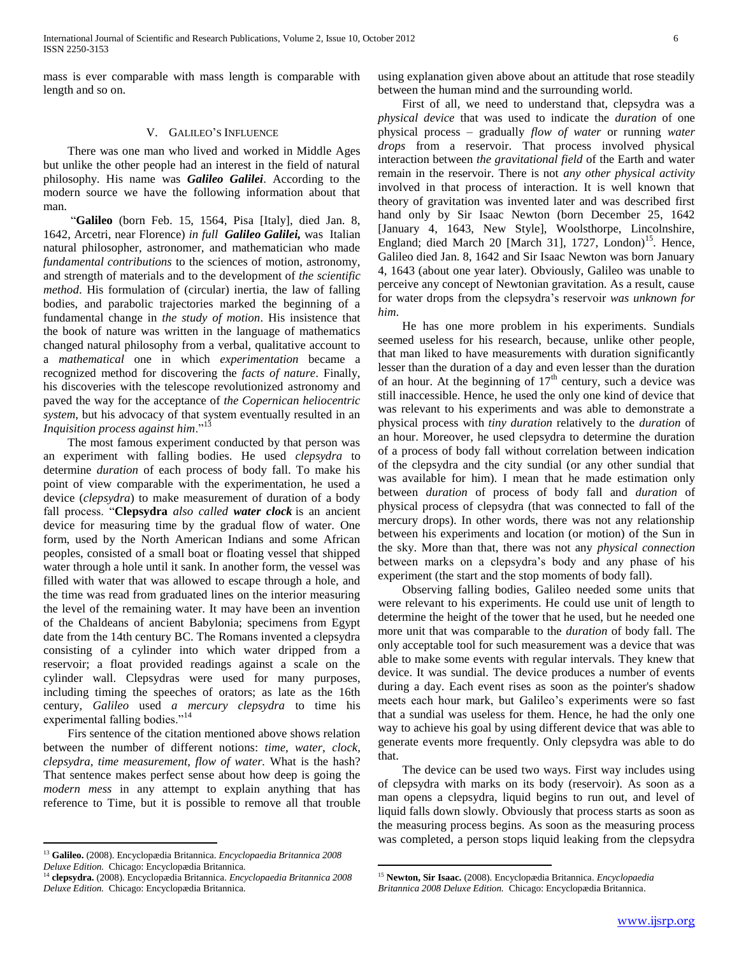mass is ever comparable with mass length is comparable with length and so on.

### V. GALILEO'S INFLUENCE

 There was one man who lived and worked in Middle Ages but unlike the other people had an interest in the field of natural philosophy. His name was *Galileo Galilei*. According to the modern source we have the following information about that man.

 ―**Galileo** (born Feb. 15, 1564, Pisa [Italy], died Jan. 8, 1642, Arcetri, near Florence) *in full Galileo Galilei,* was Italian natural philosopher, astronomer, and mathematician who made *fundamental contributions* to the sciences of motion, astronomy, and strength of materials and to the development of *the scientific method*. His formulation of (circular) inertia, the law of falling bodies, and parabolic trajectories marked the beginning of a fundamental change in *the study of motion*. His insistence that the book of nature was written in the language of mathematics changed natural philosophy from a verbal, qualitative account to a *mathematical* one in which *experimentation* became a recognized method for discovering the *facts of nature*. Finally, his discoveries with the telescope revolutionized astronomy and paved the way for the acceptance of *the Copernican heliocentric system*, but his advocacy of that system eventually resulted in an *Inquisition process against him.*"<sup>13</sup>

 The most famous experiment conducted by that person was an experiment with falling bodies. He used *clepsydra* to determine *duration* of each process of body fall. To make his point of view comparable with the experimentation, he used a device (*clepsydra*) to make measurement of duration of a body fall process. ―**Clepsydra** *also called water clock* is an ancient device for measuring time by the gradual flow of water. One form, used by the North American Indians and some African peoples, consisted of a small boat or floating vessel that shipped water through a hole until it sank. In another form, the vessel was filled with water that was allowed to escape through a hole, and the time was read from graduated lines on the interior measuring the level of the remaining water. It may have been an invention of the Chaldeans of ancient Babylonia; specimens from Egypt date from the 14th century BC. The Romans invented a clepsydra consisting of a cylinder into which water dripped from a reservoir; a float provided readings against a scale on the cylinder wall. Clepsydras were used for many purposes, including timing the speeches of orators; as late as the 16th century, *Galileo* used *a mercury clepsydra* to time his experimental falling bodies."<sup>14</sup>

 Firs sentence of the citation mentioned above shows relation between the number of different notions: *time, water, clock, clepsydra, time measurement, flow of water.* What is the hash? That sentence makes perfect sense about how deep is going the *modern mess* in any attempt to explain anything that has reference to Time, but it is possible to remove all that trouble

 $\overline{a}$ 

using explanation given above about an attitude that rose steadily between the human mind and the surrounding world.

 First of all, we need to understand that, clepsydra was a *physical device* that was used to indicate the *duration* of one physical process – gradually *flow of water* or running *water drops* from a reservoir. That process involved physical interaction between *the gravitational field* of the Earth and water remain in the reservoir. There is not *any other physical activity* involved in that process of interaction. It is well known that theory of gravitation was invented later and was described first hand only by Sir Isaac Newton (born December 25, 1642 [January 4, 1643, New Style], Woolsthorpe, Lincolnshire, England; died March 20 [March 31], 1727, London)<sup>15</sup>. Hence, Galileo died Jan. 8, 1642 and Sir Isaac Newton was born January 4, 1643 (about one year later). Obviously, Galileo was unable to perceive any concept of Newtonian gravitation. As a result, cause for water drops from the clepsydra's reservoir *was unknown for him*.

 He has one more problem in his experiments. Sundials seemed useless for his research, because, unlike other people, that man liked to have measurements with duration significantly lesser than the duration of a day and even lesser than the duration of an hour. At the beginning of  $17<sup>th</sup>$  century, such a device was still inaccessible. Hence, he used the only one kind of device that was relevant to his experiments and was able to demonstrate a physical process with *tiny duration* relatively to the *duration* of an hour. Moreover, he used clepsydra to determine the duration of a process of body fall without correlation between indication of the clepsydra and the city sundial (or any other sundial that was available for him). I mean that he made estimation only between *duration* of process of body fall and *duration* of physical process of clepsydra (that was connected to fall of the mercury drops). In other words, there was not any relationship between his experiments and location (or motion) of the Sun in the sky. More than that, there was not any *physical connection* between marks on a clepsydra's body and any phase of his experiment (the start and the stop moments of body fall).

 Observing falling bodies, Galileo needed some units that were relevant to his experiments. He could use unit of length to determine the height of the tower that he used, but he needed one more unit that was comparable to the *duration* of body fall. The only acceptable tool for such measurement was a device that was able to make some events with regular intervals. They knew that device. It was sundial. The device produces a number of events during a day. Each event rises as soon as the pointer's shadow meets each hour mark, but Galileo's experiments were so fast that a sundial was useless for them. Hence, he had the only one way to achieve his goal by using different device that was able to generate events more frequently. Only clepsydra was able to do that.

 The device can be used two ways. First way includes using of clepsydra with marks on its body (reservoir). As soon as a man opens a clepsydra, liquid begins to run out, and level of liquid falls down slowly. Obviously that process starts as soon as the measuring process begins. As soon as the measuring process was completed, a person stops liquid leaking from the clepsydra

<sup>13</sup> **Galileo.** (2008). Encyclopædia Britannica. *Encyclopaedia Britannica 2008 Deluxe Edition.* Chicago: Encyclopædia Britannica.

<sup>14</sup> **clepsydra.** (2008). Encyclopædia Britannica. *Encyclopaedia Britannica 2008 Deluxe Edition.* Chicago: Encyclopædia Britannica.

<sup>15</sup> **Newton, Sir Isaac.** (2008). Encyclopædia Britannica. *Encyclopaedia Britannica 2008 Deluxe Edition.* Chicago: Encyclopædia Britannica.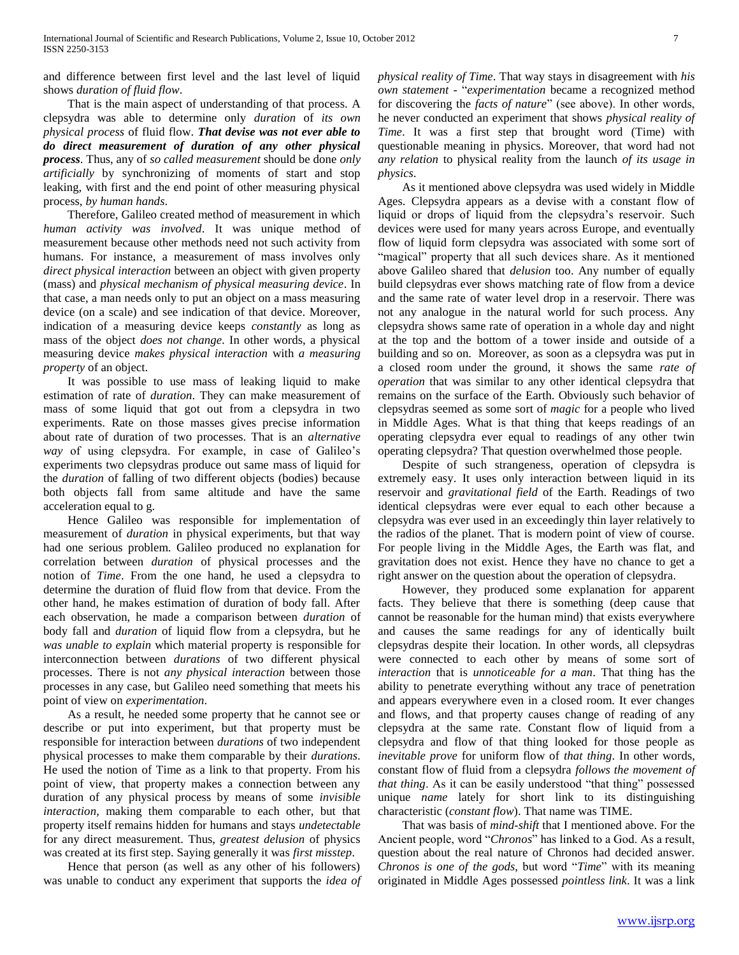and difference between first level and the last level of liquid shows *duration of fluid flow*.

 That is the main aspect of understanding of that process. A clepsydra was able to determine only *duration* of *its own physical process* of fluid flow. *That devise was not ever able to do direct measurement of duration of any other physical process*. Thus, any of *so called measurement* should be done *only artificially* by synchronizing of moments of start and stop leaking, with first and the end point of other measuring physical process, *by human hands*.

 Therefore, Galileo created method of measurement in which *human activity was involved*. It was unique method of measurement because other methods need not such activity from humans. For instance, a measurement of mass involves only *direct physical interaction* between an object with given property (mass) and *physical mechanism of physical measuring device*. In that case, a man needs only to put an object on a mass measuring device (on a scale) and see indication of that device. Moreover, indication of a measuring device keeps *constantly* as long as mass of the object *does not change*. In other words, a physical measuring device *makes physical interaction* with *a measuring property* of an object.

 It was possible to use mass of leaking liquid to make estimation of rate of *duration*. They can make measurement of mass of some liquid that got out from a clepsydra in two experiments. Rate on those masses gives precise information about rate of duration of two processes. That is an *alternative way* of using clepsydra. For example, in case of Galileo's experiments two clepsydras produce out same mass of liquid for the *duration* of falling of two different objects (bodies) because both objects fall from same altitude and have the same acceleration equal to g.

 Hence Galileo was responsible for implementation of measurement of *duration* in physical experiments, but that way had one serious problem. Galileo produced no explanation for correlation between *duration* of physical processes and the notion of *Time*. From the one hand, he used a clepsydra to determine the duration of fluid flow from that device. From the other hand, he makes estimation of duration of body fall. After each observation, he made a comparison between *duration* of body fall and *duration* of liquid flow from a clepsydra, but he *was unable to explain* which material property is responsible for interconnection between *durations* of two different physical processes. There is not *any physical interaction* between those processes in any case, but Galileo need something that meets his point of view on *experimentation*.

 As a result, he needed some property that he cannot see or describe or put into experiment, but that property must be responsible for interaction between *durations* of two independent physical processes to make them comparable by their *durations*. He used the notion of Time as a link to that property. From his point of view, that property makes a connection between any duration of any physical process by means of some *invisible interaction,* making them comparable to each other, but that property itself remains hidden for humans and stays *undetectable* for any direct measurement. Thus, *greatest delusion* of physics was created at its first step. Saying generally it was *first misstep*.

 Hence that person (as well as any other of his followers) was unable to conduct any experiment that supports the *idea of*  *physical reality of Time*. That way stays in disagreement with *his own statement* - "*experimentation* became a recognized method for discovering the *facts of nature*" (see above). In other words, he never conducted an experiment that shows *physical reality of Time*. It was a first step that brought word (Time) with questionable meaning in physics. Moreover, that word had not *any relation* to physical reality from the launch *of its usage in physics*.

 As it mentioned above clepsydra was used widely in Middle Ages. Clepsydra appears as a devise with a constant flow of liquid or drops of liquid from the clepsydra's reservoir. Such devices were used for many years across Europe, and eventually flow of liquid form clepsydra was associated with some sort of "magical" property that all such devices share. As it mentioned above Galileo shared that *delusion* too. Any number of equally build clepsydras ever shows matching rate of flow from a device and the same rate of water level drop in a reservoir. There was not any analogue in the natural world for such process. Any clepsydra shows same rate of operation in a whole day and night at the top and the bottom of a tower inside and outside of a building and so on. Moreover, as soon as a clepsydra was put in a closed room under the ground, it shows the same *rate of operation* that was similar to any other identical clepsydra that remains on the surface of the Earth. Obviously such behavior of clepsydras seemed as some sort of *magic* for a people who lived in Middle Ages. What is that thing that keeps readings of an operating clepsydra ever equal to readings of any other twin operating clepsydra? That question overwhelmed those people.

 Despite of such strangeness, operation of clepsydra is extremely easy. It uses only interaction between liquid in its reservoir and *gravitational field* of the Earth. Readings of two identical clepsydras were ever equal to each other because a clepsydra was ever used in an exceedingly thin layer relatively to the radios of the planet. That is modern point of view of course. For people living in the Middle Ages, the Earth was flat, and gravitation does not exist. Hence they have no chance to get a right answer on the question about the operation of clepsydra.

 However, they produced some explanation for apparent facts. They believe that there is something (deep cause that cannot be reasonable for the human mind) that exists everywhere and causes the same readings for any of identically built clepsydras despite their location. In other words, all clepsydras were connected to each other by means of some sort of *interaction* that is *unnoticeable for a man*. That thing has the ability to penetrate everything without any trace of penetration and appears everywhere even in a closed room. It ever changes and flows, and that property causes change of reading of any clepsydra at the same rate. Constant flow of liquid from a clepsydra and flow of that thing looked for those people as *inevitable prove* for uniform flow of *that thing*. In other words, constant flow of fluid from a clepsydra *follows the movement of that thing*. As it can be easily understood "that thing" possessed unique *name* lately for short link to its distinguishing characteristic (*constant flow*). That name was TIME.

 That was basis of *mind-shift* that I mentioned above. For the Ancient people, word "Chronos" has linked to a God. As a result, question about the real nature of Chronos had decided answer. *Chronos is one of the gods, but word "Time"* with its meaning originated in Middle Ages possessed *pointless link*. It was a link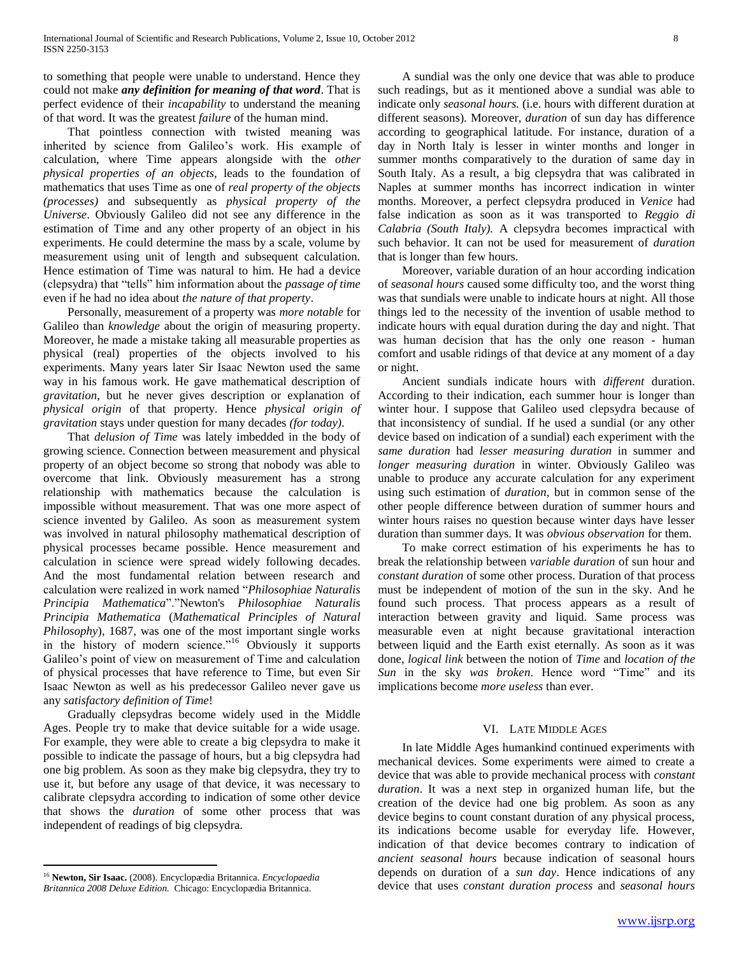to something that people were unable to understand. Hence they could not make *any definition for meaning of that word*. That is perfect evidence of their *incapability* to understand the meaning of that word. It was the greatest *failure* of the human mind.

 That pointless connection with twisted meaning was inherited by science from Galileo's work. His example of calculation, where Time appears alongside with the *other physical properties of an objects,* leads to the foundation of mathematics that uses Time as one of *real property of the objects (processes)* and subsequently as *physical property of the Universe*. Obviously Galileo did not see any difference in the estimation of Time and any other property of an object in his experiments. He could determine the mass by a scale, volume by measurement using unit of length and subsequent calculation. Hence estimation of Time was natural to him. He had a device (clepsydra) that "tells" him information about the *passage of time* even if he had no idea about *the nature of that property*.

 Personally, measurement of a property was *more notable* for Galileo than *knowledge* about the origin of measuring property. Moreover, he made a mistake taking all measurable properties as physical (real) properties of the objects involved to his experiments. Many years later Sir Isaac Newton used the same way in his famous work. He gave mathematical description of *gravitation,* but he never gives description or explanation of *physical origin* of that property. Hence *physical origin of gravitation* stays under question for many decades *(for today)*.

 That *delusion of Time* was lately imbedded in the body of growing science. Connection between measurement and physical property of an object become so strong that nobody was able to overcome that link. Obviously measurement has a strong relationship with mathematics because the calculation is impossible without measurement. That was one more aspect of science invented by Galileo. As soon as measurement system was involved in natural philosophy mathematical description of physical processes became possible. Hence measurement and calculation in science were spread widely following decades. And the most fundamental relation between research and calculation were realized in work named "Philosophiae Naturalis *Principia Mathematica*‖.‖Newton's *Philosophiae Naturalis Principia Mathematica* (*Mathematical Principles of Natural Philosophy*), 1687, was one of the most important single works in the history of modern science."<sup>16</sup> Obviously it supports Galileo's point of view on measurement of Time and calculation of physical processes that have reference to Time, but even Sir Isaac Newton as well as his predecessor Galileo never gave us any *satisfactory definition of Time*!

 Gradually clepsydras become widely used in the Middle Ages. People try to make that device suitable for a wide usage. For example, they were able to create a big clepsydra to make it possible to indicate the passage of hours, but a big clepsydra had one big problem. As soon as they make big clepsydra, they try to use it, but before any usage of that device, it was necessary to calibrate clepsydra according to indication of some other device that shows the *duration* of some other process that was independent of readings of big clepsydra.

 $\overline{a}$ 

 A sundial was the only one device that was able to produce such readings, but as it mentioned above a sundial was able to indicate only *seasonal hours.* (i.e. hours with different duration at different seasons)*.* Moreover, *duration* of sun day has difference according to geographical latitude. For instance, duration of a day in North Italy is lesser in winter months and longer in summer months comparatively to the duration of same day in South Italy. As a result, a big clepsydra that was calibrated in Naples at summer months has incorrect indication in winter months. Moreover, a perfect clepsydra produced in *Venice* had false indication as soon as it was transported to *Reggio di Calabria (South Italy).* A clepsydra becomes impractical with such behavior. It can not be used for measurement of *duration* that is longer than few hours.

 Moreover, variable duration of an hour according indication of *seasonal hours* caused some difficulty too, and the worst thing was that sundials were unable to indicate hours at night. All those things led to the necessity of the invention of usable method to indicate hours with equal duration during the day and night. That was human decision that has the only one reason - human comfort and usable ridings of that device at any moment of a day or night.

 Ancient sundials indicate hours with *different* duration. According to their indication, each summer hour is longer than winter hour. I suppose that Galileo used clepsydra because of that inconsistency of sundial. If he used a sundial (or any other device based on indication of a sundial) each experiment with the *same duration* had *lesser measuring duration* in summer and *longer measuring duration* in winter. Obviously Galileo was unable to produce any accurate calculation for any experiment using such estimation of *duration,* but in common sense of the other people difference between duration of summer hours and winter hours raises no question because winter days have lesser duration than summer days. It was *obvious observation* for them.

 To make correct estimation of his experiments he has to break the relationship between *variable duration* of sun hour and *constant duration* of some other process. Duration of that process must be independent of motion of the sun in the sky. And he found such process. That process appears as a result of interaction between gravity and liquid. Same process was measurable even at night because gravitational interaction between liquid and the Earth exist eternally. As soon as it was done, *logical link* between the notion of *Time* and *location of the Sun* in the sky *was broken*. Hence word "Time" and its implications become *more useless* than ever.

### VI. LATE MIDDLE AGES

 In late Middle Ages humankind continued experiments with mechanical devices. Some experiments were aimed to create a device that was able to provide mechanical process with *constant duration*. It was a next step in organized human life, but the creation of the device had one big problem. As soon as any device begins to count constant duration of any physical process, its indications become usable for everyday life. However, indication of that device becomes contrary to indication of *ancient seasonal hours* because indication of seasonal hours depends on duration of a *sun day*. Hence indications of any device that uses *constant duration process* and *seasonal hours*

<sup>16</sup> **Newton, Sir Isaac.** (2008). Encyclopædia Britannica. *Encyclopaedia Britannica 2008 Deluxe Edition.* Chicago: Encyclopædia Britannica.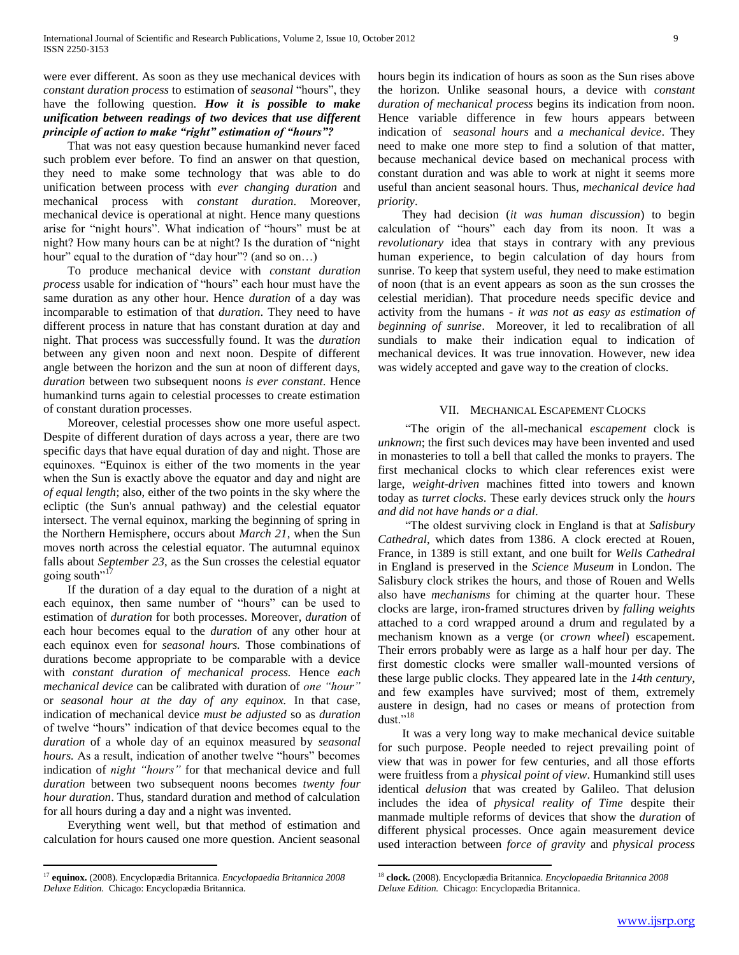were ever different. As soon as they use mechanical devices with *constant duration process* to estimation of *seasonal* "hours", they have the following question. *How it is possible to make unification between readings of two devices that use different principle of action to make "right" estimation of "hours"?*

 That was not easy question because humankind never faced such problem ever before. To find an answer on that question, they need to make some technology that was able to do unification between process with *ever changing duration* and mechanical process with *constant duration*. Moreover, mechanical device is operational at night. Hence many questions arise for "night hours". What indication of "hours" must be at night? How many hours can be at night? Is the duration of "night" hour" equal to the duration of "day hour"? (and so on...)

 To produce mechanical device with *constant duration process* usable for indication of "hours" each hour must have the same duration as any other hour. Hence *duration* of a day was incomparable to estimation of that *duration*. They need to have different process in nature that has constant duration at day and night. That process was successfully found. It was the *duration* between any given noon and next noon. Despite of different angle between the horizon and the sun at noon of different days, *duration* between two subsequent noons *is ever constant*. Hence humankind turns again to celestial processes to create estimation of constant duration processes.

 Moreover, celestial processes show one more useful aspect. Despite of different duration of days across a year, there are two specific days that have equal duration of day and night. Those are equinoxes. "Equinox is either of the two moments in the year when the Sun is exactly above the equator and day and night are *of equal length*; also, either of the two points in the sky where the ecliptic (the Sun's annual pathway) and the celestial equator intersect. The vernal equinox, marking the beginning of spring in the Northern Hemisphere, occurs about *March 21*, when the Sun moves north across the celestial equator. The autumnal equinox falls about *September 23*, as the Sun crosses the celestial equator going south $"$ <sup>17</sup>

 If the duration of a day equal to the duration of a night at each equinox, then same number of "hours" can be used to estimation of *duration* for both processes. Moreover, *duration* of each hour becomes equal to the *duration* of any other hour at each equinox even for *seasonal hours.* Those combinations of durations become appropriate to be comparable with a device with *constant duration of mechanical process.* Hence *each mechanical device* can be calibrated with duration of *one "hour"* or *seasonal hour at the day of any equinox.* In that case, indication of mechanical device *must be adjusted* so as *duration* of twelve "hours" indication of that device becomes equal to the *duration* of a whole day of an equinox measured by *seasonal hours*. As a result, indication of another twelve "hours" becomes indication of *night "hours"* for that mechanical device and full *duration* between two subsequent noons becomes *twenty four hour duration*. Thus, standard duration and method of calculation for all hours during a day and a night was invented.

 Everything went well, but that method of estimation and calculation for hours caused one more question. Ancient seasonal

 $\overline{a}$ 

hours begin its indication of hours as soon as the Sun rises above the horizon. Unlike seasonal hours, a device with *constant duration of mechanical process* begins its indication from noon. Hence variable difference in few hours appears between indication of *seasonal hours* and *a mechanical device*. They need to make one more step to find a solution of that matter, because mechanical device based on mechanical process with constant duration and was able to work at night it seems more useful than ancient seasonal hours. Thus, *mechanical device had priority*.

 They had decision (*it was human discussion*) to begin calculation of "hours" each day from its noon. It was a *revolutionary* idea that stays in contrary with any previous human experience, to begin calculation of day hours from sunrise. To keep that system useful, they need to make estimation of noon (that is an event appears as soon as the sun crosses the celestial meridian). That procedure needs specific device and activity from the humans - *it was not as easy as estimation of beginning of sunrise*. Moreover, it led to recalibration of all sundials to make their indication equal to indication of mechanical devices. It was true innovation. However, new idea was widely accepted and gave way to the creation of clocks.

## VII. MECHANICAL ESCAPEMENT CLOCKS

 ―The origin of the all-mechanical *escapement* clock is *unknown*; the first such devices may have been invented and used in monasteries to toll a bell that called the monks to prayers. The first mechanical clocks to which clear references exist were large, *weight-driven* machines fitted into towers and known today as *turret clocks*. These early devices struck only the *hours and did not have hands or a dial*.

 ―The oldest surviving clock in England is that at *Salisbury Cathedral*, which dates from 1386. A clock erected at Rouen, France, in 1389 is still extant, and one built for *Wells Cathedral* in England is preserved in the *Science Museum* in London. The Salisbury clock strikes the hours, and those of Rouen and Wells also have *mechanisms* for chiming at the quarter hour. These clocks are large, iron-framed structures driven by *falling weights* attached to a cord wrapped around a drum and regulated by a mechanism known as a verge (or *crown wheel*) escapement. Their errors probably were as large as a half hour per day. The first domestic clocks were smaller wall-mounted versions of these large public clocks. They appeared late in the *14th century*, and few examples have survived; most of them, extremely austere in design, had no cases or means of protection from  $\mathrm{dust.}^{\cdot,18}$ 

 It was a very long way to make mechanical device suitable for such purpose. People needed to reject prevailing point of view that was in power for few centuries, and all those efforts were fruitless from a *physical point of view*. Humankind still uses identical *delusion* that was created by Galileo. That delusion includes the idea of *physical reality of Time* despite their manmade multiple reforms of devices that show the *duration* of different physical processes. Once again measurement device used interaction between *force of gravity* and *physical process*

<sup>17</sup> **equinox.** (2008). Encyclopædia Britannica. *Encyclopaedia Britannica 2008 Deluxe Edition.* Chicago: Encyclopædia Britannica.

<sup>18</sup> **clock.** (2008). Encyclopædia Britannica. *Encyclopaedia Britannica 2008 Deluxe Edition.* Chicago: Encyclopædia Britannica.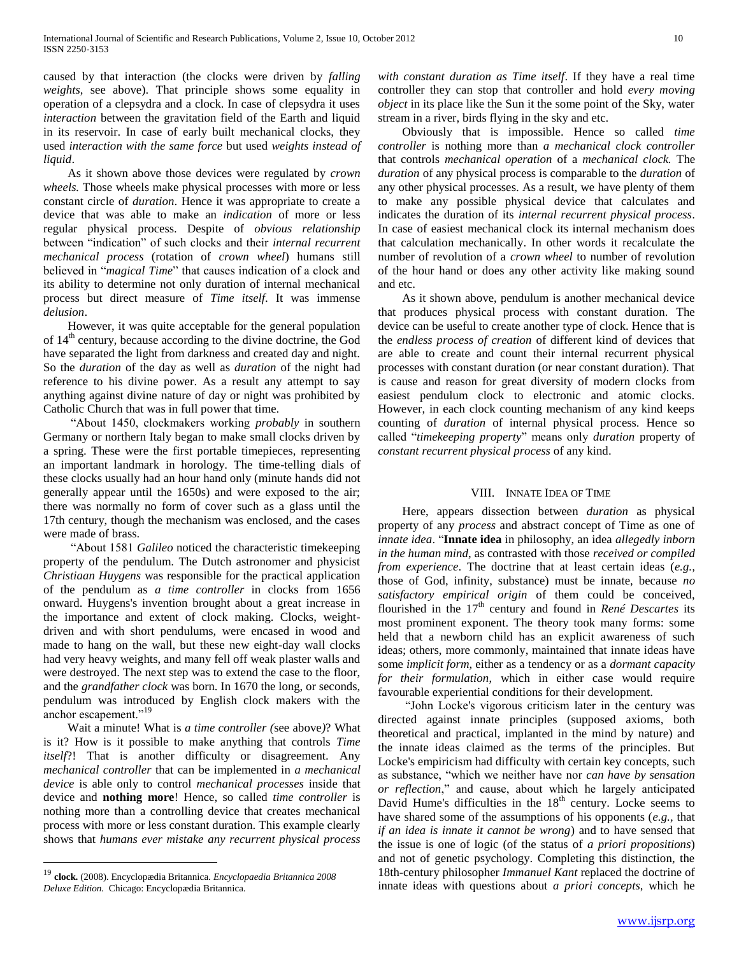caused by that interaction (the clocks were driven by *falling weights,* see above). That principle shows some equality in operation of a clepsydra and a clock. In case of clepsydra it uses *interaction* between the gravitation field of the Earth and liquid in its reservoir. In case of early built mechanical clocks, they used *interaction with the same force* but used *weights instead of liquid*.

 As it shown above those devices were regulated by *crown wheels.* Those wheels make physical processes with more or less constant circle of *duration*. Hence it was appropriate to create a device that was able to make an *indication* of more or less regular physical process. Despite of *obvious relationship* between "indication" of such clocks and their *internal recurrent mechanical process* (rotation of *crown wheel*) humans still believed in "*magical Time*" that causes indication of a clock and its ability to determine not only duration of internal mechanical process but direct measure of *Time itself*. It was immense *delusion*.

 However, it was quite acceptable for the general population of 14th century, because according to the divine doctrine, the God have separated the light from darkness and created day and night. So the *duration* of the day as well as *duration* of the night had reference to his divine power. As a result any attempt to say anything against divine nature of day or night was prohibited by Catholic Church that was in full power that time.

 ―About 1450, clockmakers working *probably* in southern Germany or northern Italy began to make small clocks driven by a spring. These were the first portable timepieces, representing an important landmark in horology. The time-telling dials of these clocks usually had an hour hand only (minute hands did not generally appear until the 1650s) and were exposed to the air; there was normally no form of cover such as a glass until the 17th century, though the mechanism was enclosed, and the cases were made of brass.

 ―About 1581 *Galileo* noticed the characteristic timekeeping property of the pendulum. The Dutch astronomer and physicist *Christiaan Huygens* was responsible for the practical application of the pendulum as *a time controller* in clocks from 1656 onward. Huygens's invention brought about a great increase in the importance and extent of clock making. Clocks, weightdriven and with short pendulums, were encased in wood and made to hang on the wall, but these new eight-day wall clocks had very heavy weights, and many fell off weak plaster walls and were destroyed. The next step was to extend the case to the floor, and the *grandfather clock* was born. In 1670 the long, or seconds, pendulum was introduced by English clock makers with the anchor escapement."<sup>19</sup>

 Wait a minute! What is *a time controller (*see above*)*? What is it? How is it possible to make anything that controls *Time itself*?! That is another difficulty or disagreement. Any *mechanical controller* that can be implemented in *a mechanical device* is able only to control *mechanical processes* inside that device and **nothing more**! Hence, so called *time controller* is nothing more than a controlling device that creates mechanical process with more or less constant duration. This example clearly shows that *humans ever mistake any recurrent physical process* 

 $\overline{a}$ 

*with constant duration as Time itself*. If they have a real time controller they can stop that controller and hold *every moving object* in its place like the Sun it the some point of the Sky, water stream in a river, birds flying in the sky and etc.

 Obviously that is impossible. Hence so called *time controller* is nothing more than *a mechanical clock controller* that controls *mechanical operation* of a *mechanical clock.* The *duration* of any physical process is comparable to the *duration* of any other physical processes. As a result, we have plenty of them to make any possible physical device that calculates and indicates the duration of its *internal recurrent physical process*. In case of easiest mechanical clock its internal mechanism does that calculation mechanically. In other words it recalculate the number of revolution of a *crown wheel* to number of revolution of the hour hand or does any other activity like making sound and etc.

 As it shown above, pendulum is another mechanical device that produces physical process with constant duration. The device can be useful to create another type of clock. Hence that is the *endless process of creation* of different kind of devices that are able to create and count their internal recurrent physical processes with constant duration (or near constant duration). That is cause and reason for great diversity of modern clocks from easiest pendulum clock to electronic and atomic clocks. However, in each clock counting mechanism of any kind keeps counting of *duration* of internal physical process. Hence so called "timekeeping property" means only *duration* property of *constant recurrent physical process* of any kind.

## VIII. INNATE IDEA OF TIME

 Here, appears dissection between *duration* as physical property of any *process* and abstract concept of Time as one of *innate idea*. "**Innate idea** in philosophy, an idea *allegedly inborn in the human mind*, as contrasted with those *received or compiled from experience*. The doctrine that at least certain ideas (*e.g.,* those of God, infinity, substance) must be innate, because *no satisfactory empirical origin* of them could be conceived, flourished in the 17<sup>th</sup> century and found in *René Descartes* its most prominent exponent. The theory took many forms: some held that a newborn child has an explicit awareness of such ideas; others, more commonly, maintained that innate ideas have some *implicit form*, either as a tendency or as a *dormant capacity for their formulation*, which in either case would require favourable experiential conditions for their development.

 ―John Locke's vigorous criticism later in the century was directed against innate principles (supposed axioms, both theoretical and practical, implanted in the mind by nature) and the innate ideas claimed as the terms of the principles. But Locke's empiricism had difficulty with certain key concepts, such as substance, "which we neither have nor *can have by sensation or reflection*,‖ and cause, about which he largely anticipated David Hume's difficulties in the 18<sup>th</sup> century. Locke seems to have shared some of the assumptions of his opponents (*e.g.,* that *if an idea is innate it cannot be wrong*) and to have sensed that the issue is one of logic (of the status of *a priori propositions*) and not of genetic psychology. Completing this distinction, the 18th-century philosopher *Immanuel Kant* replaced the doctrine of innate ideas with questions about *a priori concepts*, which he

<sup>19</sup> **clock.** (2008). Encyclopædia Britannica. *Encyclopaedia Britannica 2008 Deluxe Edition.* Chicago: Encyclopædia Britannica.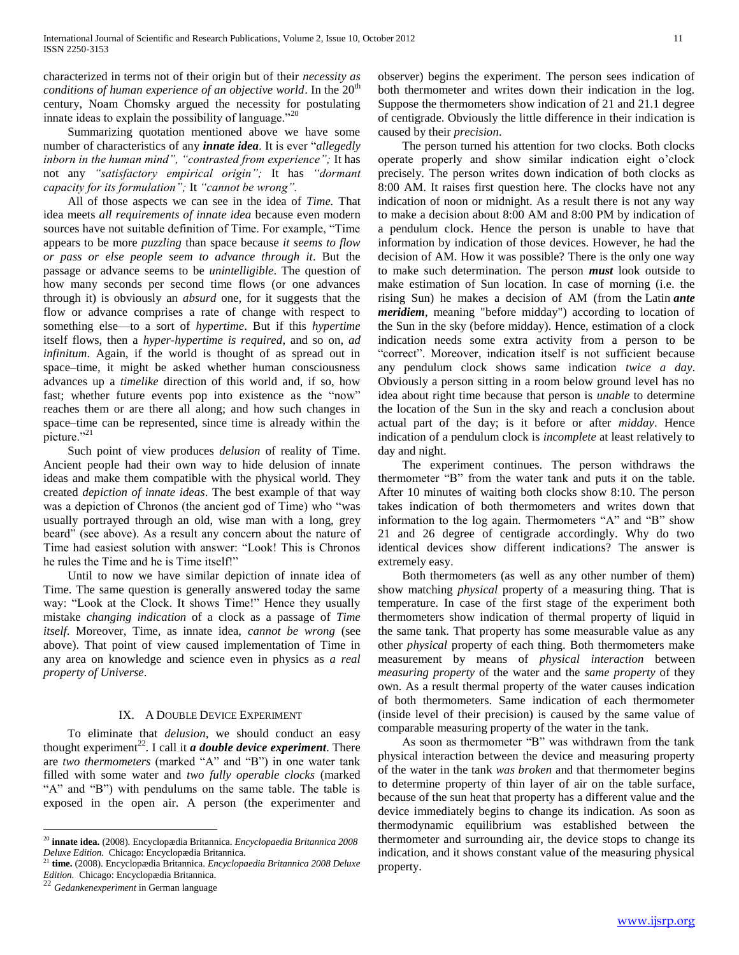characterized in terms not of their origin but of their *necessity as conditions of human experience of an objective world*. In the 20<sup>th</sup> century, Noam Chomsky argued the necessity for postulating innate ideas to explain the possibility of language."<sup>20</sup>

 Summarizing quotation mentioned above we have some number of characteristics of any *innate idea*. It is ever "allegedly *inborn in the human mind", "contrasted from experience";* It has not any *"satisfactory empirical origin";* It has *"dormant capacity for its formulation";* It *"cannot be wrong".* 

 All of those aspects we can see in the idea of *Time.* That idea meets *all requirements of innate idea* because even modern sources have not suitable definition of Time. For example, "Time" appears to be more *puzzling* than space because *it seems to flow or pass or else people seem to advance through it*. But the passage or advance seems to be *unintelligible*. The question of how many seconds per second time flows (or one advances through it) is obviously an *absurd* one, for it suggests that the flow or advance comprises a rate of change with respect to something else—to a sort of *hypertime*. But if this *hypertime* itself flows, then a *hyper-hypertime is required*, and so on, *ad infinitum*. Again, if the world is thought of as spread out in space–time, it might be asked whether human consciousness advances up a *timelike* direction of this world and, if so, how fast; whether future events pop into existence as the "now" reaches them or are there all along; and how such changes in space–time can be represented, since time is already within the picture."<sup>21</sup>

 Such point of view produces *delusion* of reality of Time. Ancient people had their own way to hide delusion of innate ideas and make them compatible with the physical world. They created *depiction of innate ideas*. The best example of that way was a depiction of Chronos (the ancient god of Time) who "was usually portrayed through an old, wise man with a long, grey beard" (see above). As a result any concern about the nature of Time had easiest solution with answer: "Look! This is Chronos he rules the Time and he is Time itself!"

 Until to now we have similar depiction of innate idea of Time. The same question is generally answered today the same way: "Look at the Clock. It shows Time!" Hence they usually mistake *changing indication* of a clock as a passage of *Time itself*. Moreover, Time, as innate idea, *cannot be wrong* (see above). That point of view caused implementation of Time in any area on knowledge and science even in physics as *a real property of Universe*.

## IX. A DOUBLE DEVICE EXPERIMENT

 To eliminate that *delusion,* we should conduct an easy thought experiment<sup>22</sup>. I call it *a double device experiment*. There are *two thermometers* (marked "A" and "B") in one water tank filled with some water and *two fully operable clocks* (marked "A" and "B") with pendulums on the same table. The table is exposed in the open air. A person (the experimenter and

 $\overline{a}$ 

observer) begins the experiment. The person sees indication of both thermometer and writes down their indication in the log. Suppose the thermometers show indication of 21 and 21.1 degree of centigrade. Obviously the little difference in their indication is caused by their *precision*.

 The person turned his attention for two clocks. Both clocks operate properly and show similar indication eight o'clock precisely. The person writes down indication of both clocks as 8:00 AM. It raises first question here. The clocks have not any indication of noon or midnight. As a result there is not any way to make a decision about 8:00 AM and 8:00 PM by indication of a pendulum clock. Hence the person is unable to have that information by indication of those devices. However, he had the decision of AM. How it was possible? There is the only one way to make such determination. The person *must* look outside to make estimation of Sun location. In case of morning (i.e. the rising Sun) he makes a decision of AM (from the Latin *ante meridiem*, meaning "before midday") according to location of the Sun in the sky (before midday). Hence, estimation of a clock indication needs some extra activity from a person to be ―correct‖. Moreover, indication itself is not sufficient because any pendulum clock shows same indication *twice a day*. Obviously a person sitting in a room below ground level has no idea about right time because that person is *unable* to determine the location of the Sun in the sky and reach a conclusion about actual part of the day; is it before or after *midday*. Hence indication of a pendulum clock is *incomplete* at least relatively to day and night.

 The experiment continues. The person withdraws the thermometer "B" from the water tank and puts it on the table. After 10 minutes of waiting both clocks show 8:10. The person takes indication of both thermometers and writes down that information to the log again. Thermometers "A" and "B" show 21 and 26 degree of centigrade accordingly. Why do two identical devices show different indications? The answer is extremely easy.

 Both thermometers (as well as any other number of them) show matching *physical* property of a measuring thing. That is temperature. In case of the first stage of the experiment both thermometers show indication of thermal property of liquid in the same tank. That property has some measurable value as any other *physical* property of each thing. Both thermometers make measurement by means of *physical interaction* between *measuring property* of the water and the *same property* of they own. As a result thermal property of the water causes indication of both thermometers. Same indication of each thermometer (inside level of their precision) is caused by the same value of comparable measuring property of the water in the tank.

As soon as thermometer "B" was withdrawn from the tank physical interaction between the device and measuring property of the water in the tank *was broken* and that thermometer begins to determine property of thin layer of air on the table surface, because of the sun heat that property has a different value and the device immediately begins to change its indication. As soon as thermodynamic equilibrium was established between the thermometer and surrounding air, the device stops to change its indication, and it shows constant value of the measuring physical property.

<sup>20</sup> **innate idea.** (2008). Encyclopædia Britannica. *Encyclopaedia Britannica 2008 Deluxe Edition.* Chicago: Encyclopædia Britannica.

<sup>21</sup> **time.** (2008). Encyclopædia Britannica. *Encyclopaedia Britannica 2008 Deluxe Edition.* Chicago: Encyclopædia Britannica.<br>22 G. i. .

<sup>22</sup> *Gedankenexperiment* in German language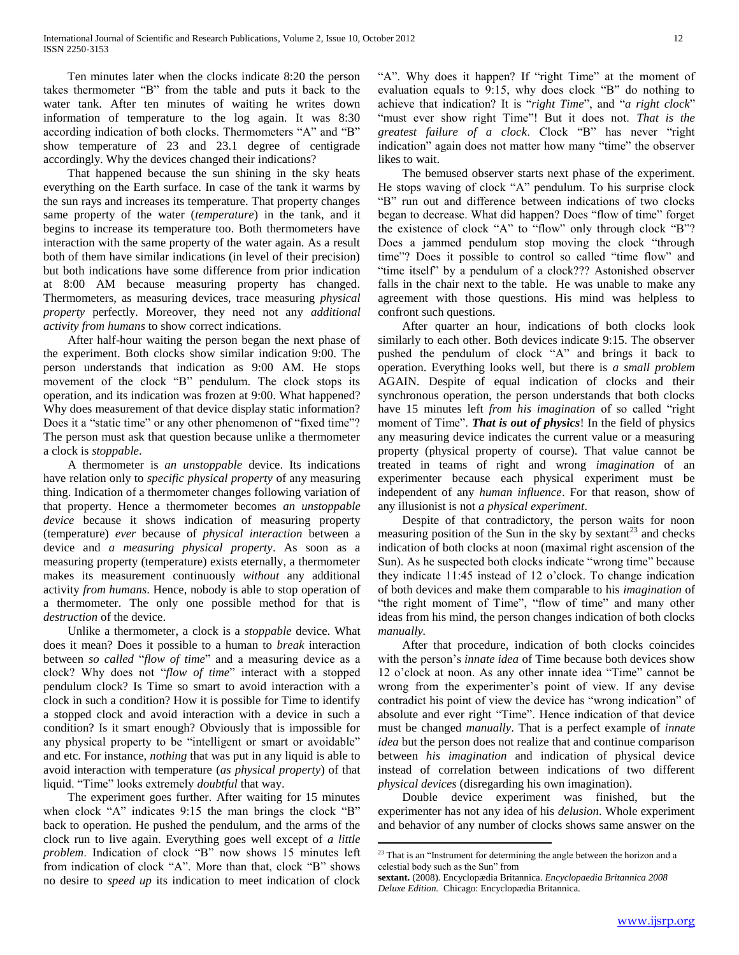Ten minutes later when the clocks indicate 8:20 the person takes thermometer "B" from the table and puts it back to the water tank. After ten minutes of waiting he writes down information of temperature to the log again. It was 8:30 according indication of both clocks. Thermometers "A" and "B" show temperature of 23 and 23.1 degree of centigrade accordingly. Why the devices changed their indications?

 That happened because the sun shining in the sky heats everything on the Earth surface. In case of the tank it warms by the sun rays and increases its temperature. That property changes same property of the water (*temperature*) in the tank, and it begins to increase its temperature too. Both thermometers have interaction with the same property of the water again. As a result both of them have similar indications (in level of their precision) but both indications have some difference from prior indication at 8:00 AM because measuring property has changed. Thermometers, as measuring devices, trace measuring *physical property* perfectly. Moreover, they need not any *additional activity from humans* to show correct indications.

 After half-hour waiting the person began the next phase of the experiment. Both clocks show similar indication 9:00. The person understands that indication as 9:00 AM. He stops movement of the clock "B" pendulum. The clock stops its operation, and its indication was frozen at 9:00. What happened? Why does measurement of that device display static information? Does it a "static time" or any other phenomenon of "fixed time"? The person must ask that question because unlike a thermometer a clock is *stoppable*.

 A thermometer is *an unstoppable* device. Its indications have relation only to *specific physical property* of any measuring thing. Indication of a thermometer changes following variation of that property. Hence a thermometer becomes *an unstoppable device* because it shows indication of measuring property (temperature) *ever* because of *physical interaction* between a device and *a measuring physical property*. As soon as a measuring property (temperature) exists eternally, a thermometer makes its measurement continuously *without* any additional activity *from humans*. Hence, nobody is able to stop operation of a thermometer. The only one possible method for that is *destruction* of the device.

 Unlike a thermometer, a clock is a *stoppable* device. What does it mean? Does it possible to a human to *break* interaction between *so called* "*flow of time*" and a measuring device as a clock? Why does not "*flow of time*" interact with a stopped pendulum clock? Is Time so smart to avoid interaction with a clock in such a condition? How it is possible for Time to identify a stopped clock and avoid interaction with a device in such a condition? Is it smart enough? Obviously that is impossible for any physical property to be "intelligent or smart or avoidable" and etc. For instance, *nothing* that was put in any liquid is able to avoid interaction with temperature (*as physical property*) of that liquid. "Time" looks extremely *doubtful* that way.

 The experiment goes further. After waiting for 15 minutes when clock "A" indicates  $9:15$  the man brings the clock "B" back to operation. He pushed the pendulum, and the arms of the clock run to live again. Everything goes well except of *a little*  problem. Indication of clock "B" now shows 15 minutes left from indication of clock "A". More than that, clock "B" shows no desire to *speed up* its indication to meet indication of clock "A". Why does it happen? If "right Time" at the moment of evaluation equals to  $9:15$ , why does clock "B" do nothing to achieve that indication? It is "right Time", and "*a right clock*" "must ever show right Time"! But it does not. That is the greatest failure of a clock. Clock "B" has never "right indication" again does not matter how many "time" the observer likes to wait.

 The bemused observer starts next phase of the experiment. He stops waving of clock "A" pendulum. To his surprise clock "B" run out and difference between indications of two clocks began to decrease. What did happen? Does "flow of time" forget the existence of clock "A" to "flow" only through clock "B"? Does a jammed pendulum stop moving the clock "through time"? Does it possible to control so called "time flow" and "time itself" by a pendulum of a clock??? Astonished observer falls in the chair next to the table. He was unable to make any agreement with those questions. His mind was helpless to confront such questions.

 After quarter an hour, indications of both clocks look similarly to each other. Both devices indicate 9:15. The observer pushed the pendulum of clock "A" and brings it back to operation. Everything looks well, but there is *a small problem* AGAIN. Despite of equal indication of clocks and their synchronous operation, the person understands that both clocks have 15 minutes left *from his imagination* of so called "right moment of Time". **That is out of physics**! In the field of physics any measuring device indicates the current value or a measuring property (physical property of course). That value cannot be treated in teams of right and wrong *imagination* of an experimenter because each physical experiment must be independent of any *human influence*. For that reason, show of any illusionist is not *a physical experiment*.

 Despite of that contradictory, the person waits for noon measuring position of the Sun in the sky by sextant<sup>23</sup> and checks indication of both clocks at noon (maximal right ascension of the Sun). As he suspected both clocks indicate "wrong time" because they indicate 11:45 instead of 12 o'clock. To change indication of both devices and make them comparable to his *imagination* of "the right moment of Time", "flow of time" and many other ideas from his mind, the person changes indication of both clocks *manually.* 

 After that procedure, indication of both clocks coincides with the person's *innate idea* of Time because both devices show 12 o'clock at noon. As any other innate idea "Time" cannot be wrong from the experimenter's point of view. If any devise contradict his point of view the device has "wrong indication" of absolute and ever right "Time". Hence indication of that device must be changed *manually*. That is a perfect example of *innate idea* but the person does not realize that and continue comparison between *his imagination* and indication of physical device instead of correlation between indications of two different *physical devices* (disregarding his own imagination).

 Double device experiment was finished, but the experimenter has not any idea of his *delusion*. Whole experiment and behavior of any number of clocks shows same answer on the

 $23$  That is an "Instrument for determining the angle between the horizon and a celestial body such as the Sun" from

**sextant.** (2008). Encyclopædia Britannica. *Encyclopaedia Britannica 2008 Deluxe Edition.* Chicago: Encyclopædia Britannica.